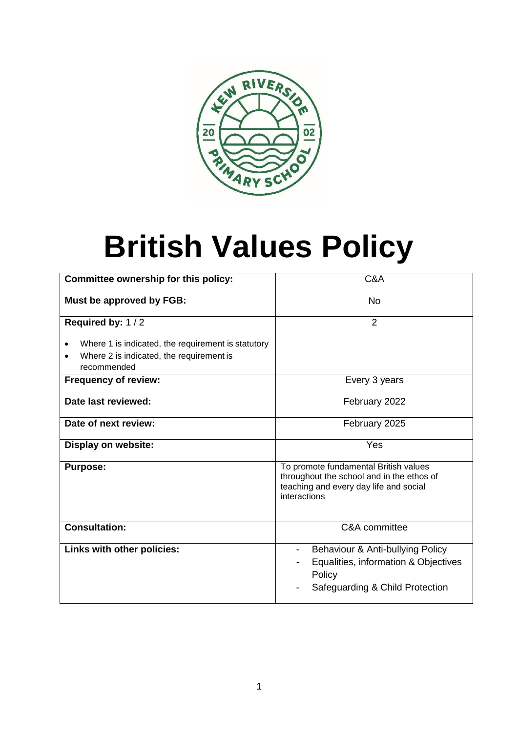

# **British Values Policy**

| Committee ownership for this policy:                    | C&A                                                                                                                                               |
|---------------------------------------------------------|---------------------------------------------------------------------------------------------------------------------------------------------------|
| Must be approved by FGB:                                | <b>No</b>                                                                                                                                         |
| Required by: 1/2                                        | $\overline{2}$                                                                                                                                    |
| Where 1 is indicated, the requirement is statutory<br>٠ |                                                                                                                                                   |
| Where 2 is indicated, the requirement is<br>recommended |                                                                                                                                                   |
| <b>Frequency of review:</b>                             | Every 3 years                                                                                                                                     |
| Date last reviewed:                                     | February 2022                                                                                                                                     |
| Date of next review:                                    | February 2025                                                                                                                                     |
| <b>Display on website:</b>                              | Yes                                                                                                                                               |
| <b>Purpose:</b>                                         | To promote fundamental British values<br>throughout the school and in the ethos of<br>teaching and every day life and social<br>interactions      |
| <b>Consultation:</b>                                    | C&A committee                                                                                                                                     |
| Links with other policies:                              | Behaviour & Anti-bullying Policy<br>$\overline{\phantom{0}}$<br>Equalities, information & Objectives<br>Policy<br>Safeguarding & Child Protection |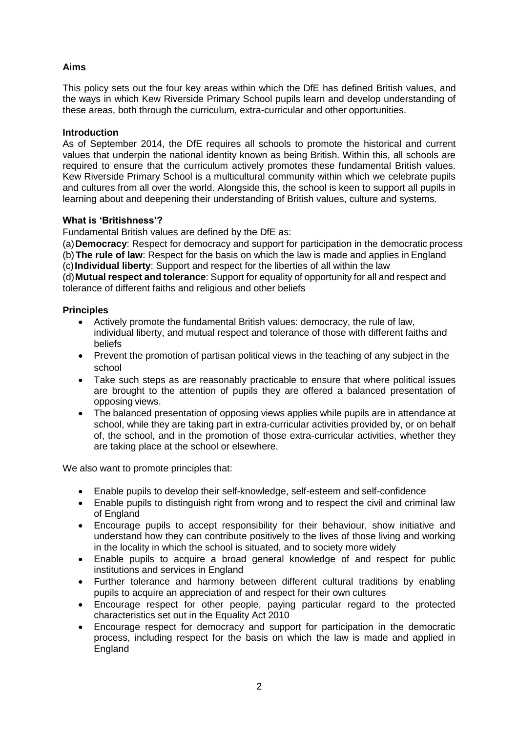## **Aims**

This policy sets out the four key areas within which the DfE has defined British values, and the ways in which Kew Riverside Primary School pupils learn and develop understanding of these areas, both through the curriculum, extra-curricular and other opportunities.

## **Introduction**

As of September 2014, the DfE requires all schools to promote the historical and current values that underpin the national identity known as being British. Within this, all schools are required to ensure that the curriculum actively promotes these fundamental British values. Kew Riverside Primary School is a multicultural community within which we celebrate pupils and cultures from all over the world. Alongside this, the school is keen to support all pupils in learning about and deepening their understanding of British values, culture and systems.

## **What is 'Britishness'?**

Fundamental British values are defined by the DfE as:

(a)**Democracy**: Respect for democracy and support for participation in the democratic process (b)**The rule of law**: Respect for the basis on which the law is made and applies in England

(c)**Individual liberty**: Support and respect for the liberties of all within the law

(d)**Mutual respect and tolerance**: Support for equality of opportunity for all and respect and tolerance of different faiths and religious and other beliefs

## **Principles**

- Actively promote the fundamental British values: democracy, the rule of law, individual liberty, and mutual respect and tolerance of those with different faiths and beliefs
- Prevent the promotion of partisan political views in the teaching of any subject in the school
- Take such steps as are reasonably practicable to ensure that where political issues are brought to the attention of pupils they are offered a balanced presentation of opposing views.
- The balanced presentation of opposing views applies while pupils are in attendance at school, while they are taking part in extra-curricular activities provided by, or on behalf of, the school, and in the promotion of those extra-curricular activities, whether they are taking place at the school or elsewhere.

We also want to promote principles that:

- Enable pupils to develop their self-knowledge, self-esteem and self-confidence
- Enable pupils to distinguish right from wrong and to respect the civil and criminal law of England
- Encourage pupils to accept responsibility for their behaviour, show initiative and understand how they can contribute positively to the lives of those living and working in the locality in which the school is situated, and to society more widely
- Enable pupils to acquire a broad general knowledge of and respect for public institutions and services in England
- Further tolerance and harmony between different cultural traditions by enabling pupils to acquire an appreciation of and respect for their own cultures
- Encourage respect for other people, paying particular regard to the protected characteristics set out in the Equality Act 2010
- Encourage respect for democracy and support for participation in the democratic process, including respect for the basis on which the law is made and applied in England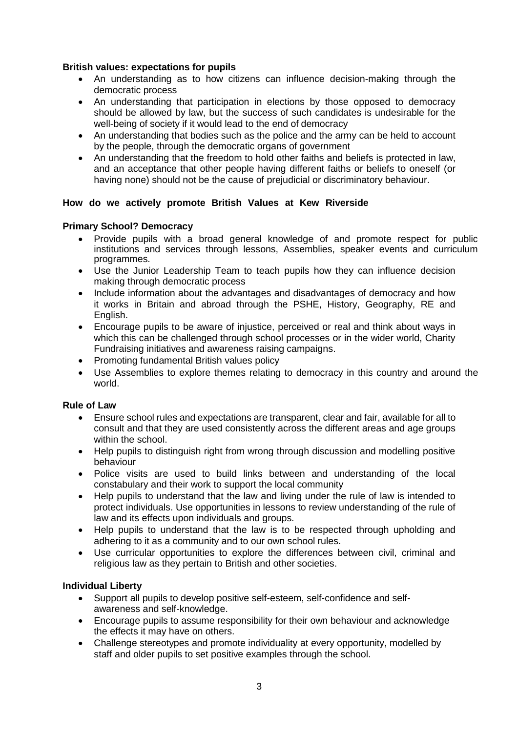## **British values: expectations for pupils**

- An understanding as to how citizens can influence decision-making through the democratic process
- An understanding that participation in elections by those opposed to democracy should be allowed by law, but the success of such candidates is undesirable for the well-being of society if it would lead to the end of democracy
- An understanding that bodies such as the police and the army can be held to account by the people, through the democratic organs of government
- An understanding that the freedom to hold other faiths and beliefs is protected in law, and an acceptance that other people having different faiths or beliefs to oneself (or having none) should not be the cause of prejudicial or discriminatory behaviour.

## **How do we actively promote British Values at Kew Riverside**

## **Primary School? Democracy**

- Provide pupils with a broad general knowledge of and promote respect for public institutions and services through lessons, Assemblies, speaker events and curriculum programmes.
- Use the Junior Leadership Team to teach pupils how they can influence decision making through democratic process
- Include information about the advantages and disadvantages of democracy and how it works in Britain and abroad through the PSHE, History, Geography, RE and English.
- Encourage pupils to be aware of injustice, perceived or real and think about ways in which this can be challenged through school processes or in the wider world, Charity Fundraising initiatives and awareness raising campaigns.
- Promoting fundamental British values policy
- Use Assemblies to explore themes relating to democracy in this country and around the world.

## **Rule of Law**

- Ensure school rules and expectations are transparent, clear and fair, available for all to consult and that they are used consistently across the different areas and age groups within the school.
- Help pupils to distinguish right from wrong through discussion and modelling positive behaviour
- Police visits are used to build links between and understanding of the local constabulary and their work to support the local community
- Help pupils to understand that the law and living under the rule of law is intended to protect individuals. Use opportunities in lessons to review understanding of the rule of law and its effects upon individuals and groups.
- Help pupils to understand that the law is to be respected through upholding and adhering to it as a community and to our own school rules.
- Use curricular opportunities to explore the differences between civil, criminal and religious law as they pertain to British and other societies.

## **Individual Liberty**

- Support all pupils to develop positive self-esteem, self-confidence and selfawareness and self-knowledge.
- Encourage pupils to assume responsibility for their own behaviour and acknowledge the effects it may have on others.
- Challenge stereotypes and promote individuality at every opportunity, modelled by staff and older pupils to set positive examples through the school.